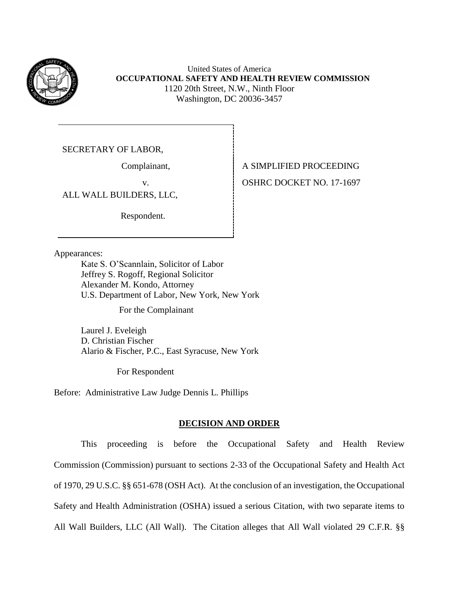

United States of America **OCCUPATIONAL SAFETY AND HEALTH REVIEW COMMISSION** 1120 20th Street, N.W., Ninth Floor Washington, DC 20036-3457

SECRETARY OF LABOR,

ALL WALL BUILDERS, LLC,

Respondent.

Complainant, A SIMPLIFIED PROCEEDING v.OSHRC DOCKET NO. 17-1697

Appearances:

Kate S. O'Scannlain, Solicitor of Labor Jeffrey S. Rogoff, Regional Solicitor Alexander M. Kondo, Attorney U.S. Department of Labor, New York, New York

For the Complainant

Laurel J. Eveleigh D. Christian Fischer Alario & Fischer, P.C., East Syracuse, New York

For Respondent

Before: Administrative Law Judge Dennis L. Phillips

### **DECISION AND ORDER**

This proceeding is before the Occupational Safety and Health Review Commission (Commission) pursuant to sections 2-33 of the Occupational Safety and Health Act of 1970, 29 U.S.C. §§ 651-678 (OSH Act). At the conclusion of an investigation, the Occupational Safety and Health Administration (OSHA) issued a serious Citation, with two separate items to All Wall Builders, LLC (All Wall). The Citation alleges that All Wall violated 29 C.F.R. §§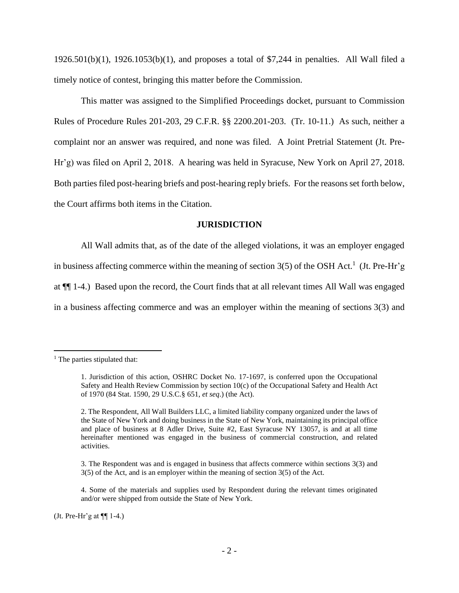1926.501(b)(1), 1926.1053(b)(1), and proposes a total of \$7,244 in penalties. All Wall filed a timely notice of contest, bringing this matter before the Commission.

This matter was assigned to the Simplified Proceedings docket, pursuant to Commission Rules of Procedure Rules 201-203, 29 C.F.R. §§ 2200.201-203. (Tr. 10-11.) As such, neither a complaint nor an answer was required, and none was filed. A Joint Pretrial Statement (Jt. Pre-Hr'g) was filed on April 2, 2018. A hearing was held in Syracuse, New York on April 27, 2018. Both parties filed post-hearing briefs and post-hearing reply briefs. For the reasons set forth below, the Court affirms both items in the Citation.

### **JURISDICTION**

All Wall admits that, as of the date of the alleged violations, it was an employer engaged in business affecting commerce within the meaning of section  $3(5)$  of the OSH Act.<sup>1</sup> (Jt. Pre-Hr'g at ¶¶ 1-4.) Based upon the record, the Court finds that at all relevant times All Wall was engaged in a business affecting commerce and was an employer within the meaning of sections 3(3) and

 $\overline{a}$ 

(Jt. Pre-Hr'g at  $\P$ [1-4.)

 $<sup>1</sup>$  The parties stipulated that:</sup>

<sup>1.</sup> Jurisdiction of this action, OSHRC Docket No. 17-1697, is conferred upon the Occupational Safety and Health Review Commission by section 10(c) of the Occupational Safety and Health Act of 1970 (84 Stat. 1590, 29 U.S.C.§ 651, *et seq*.) (the Act).

<sup>2.</sup> The Respondent, All Wall Builders LLC, a limited liability company organized under the laws of the State of New York and doing business in the State of New York, maintaining its principal office and place of business at 8 Adler Drive, Suite #2, East Syracuse NY 13057, is and at all time hereinafter mentioned was engaged in the business of commercial construction, and related activities.

<sup>3.</sup> The Respondent was and is engaged in business that affects commerce within sections 3(3) and 3(5) of the Act, and is an employer within the meaning of section 3(5) of the Act.

<sup>4.</sup> Some of the materials and supplies used by Respondent during the relevant times originated and/or were shipped from outside the State of New York.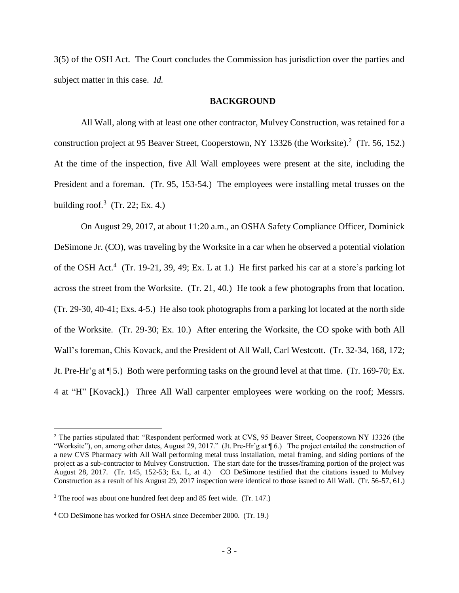3(5) of the OSH Act. The Court concludes the Commission has jurisdiction over the parties and subject matter in this case. *Id.*

#### **BACKGROUND**

All Wall, along with at least one other contractor, Mulvey Construction, was retained for a construction project at 95 Beaver Street, Cooperstown, NY 13326 (the Worksite).<sup>2</sup> (Tr. 56, 152.) At the time of the inspection, five All Wall employees were present at the site, including the President and a foreman. (Tr. 95, 153-54.) The employees were installing metal trusses on the building roof.<sup>3</sup> (Tr. 22; Ex. 4.)

On August 29, 2017, at about 11:20 a.m., an OSHA Safety Compliance Officer, Dominick DeSimone Jr. (CO), was traveling by the Worksite in a car when he observed a potential violation of the OSH Act.<sup>4</sup> (Tr. 19-21, 39, 49; Ex. L at 1.) He first parked his car at a store's parking lot across the street from the Worksite. (Tr. 21, 40.) He took a few photographs from that location. (Tr. 29-30, 40-41; Exs. 4-5.) He also took photographs from a parking lot located at the north side of the Worksite. (Tr. 29-30; Ex. 10.) After entering the Worksite, the CO spoke with both All Wall's foreman, Chis Kovack, and the President of All Wall, Carl Westcott. (Tr. 32-34, 168, 172; Jt. Pre-Hr'g at ¶ 5.) Both were performing tasks on the ground level at that time. (Tr. 169-70; Ex. 4 at "H" [Kovack].) Three All Wall carpenter employees were working on the roof; Messrs.

<sup>&</sup>lt;sup>2</sup> The parties stipulated that: "Respondent performed work at CVS, 95 Beaver Street, Cooperstown NY 13326 (the "Worksite"), on, among other dates, August 29, 2017." (Jt. Pre-Hr'g at ¶ 6.) The project entailed the construction of a new CVS Pharmacy with All Wall performing metal truss installation, metal framing, and siding portions of the project as a sub-contractor to Mulvey Construction. The start date for the trusses/framing portion of the project was August 28, 2017. (Tr. 145, 152-53; Ex. L, at 4.) CO DeSimone testified that the citations issued to Mulvey Construction as a result of his August 29, 2017 inspection were identical to those issued to All Wall. (Tr. 56-57, 61.)

<sup>3</sup> The roof was about one hundred feet deep and 85 feet wide. (Tr. 147.)

<sup>4</sup> CO DeSimone has worked for OSHA since December 2000. (Tr. 19.)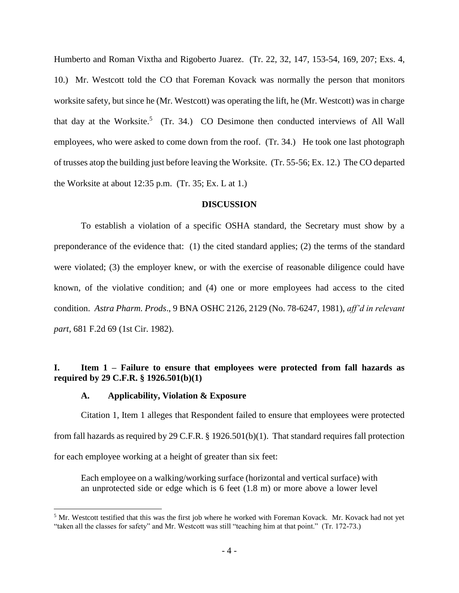Humberto and Roman Vixtha and Rigoberto Juarez. (Tr. 22, 32, 147, 153-54, 169, 207; Exs. 4, 10.) Mr. Westcott told the CO that Foreman Kovack was normally the person that monitors worksite safety, but since he (Mr. Westcott) was operating the lift, he (Mr. Westcott) was in charge that day at the Worksite.<sup>5</sup> (Tr. 34.) CO Desimone then conducted interviews of All Wall employees, who were asked to come down from the roof. (Tr. 34.) He took one last photograph of trusses atop the building just before leaving the Worksite. (Tr. 55-56; Ex. 12.) The CO departed the Worksite at about  $12:35$  p.m. (Tr. 35; Ex. L at 1.)

#### **DISCUSSION**

To establish a violation of a specific OSHA standard, the Secretary must show by a preponderance of the evidence that: (1) the cited standard applies; (2) the terms of the standard were violated; (3) the employer knew, or with the exercise of reasonable diligence could have known, of the violative condition; and (4) one or more employees had access to the cited condition. *Astra Pharm. Prods*., 9 BNA OSHC 2126, 2129 (No. 78-6247, 1981), *aff'd in relevant part,* 681 F.2d 69 (1st Cir. 1982).

# **I. Item 1 – Failure to ensure that employees were protected from fall hazards as required by 29 C.F.R. § 1926.501(b)(1)**

### **A. Applicability, Violation & Exposure**

 $\overline{a}$ 

Citation 1, Item 1 alleges that Respondent failed to ensure that employees were protected from fall hazards as required by 29 C.F.R. § 1926.501(b)(1). That standard requires fall protection for each employee working at a height of greater than six feet:

Each employee on a walking/working surface (horizontal and vertical surface) with an unprotected side or edge which is 6 feet (1.8 m) or more above a lower level

<sup>&</sup>lt;sup>5</sup> Mr. Westcott testified that this was the first job where he worked with Foreman Kovack. Mr. Kovack had not yet "taken all the classes for safety" and Mr. Westcott was still "teaching him at that point." (Tr. 172-73.)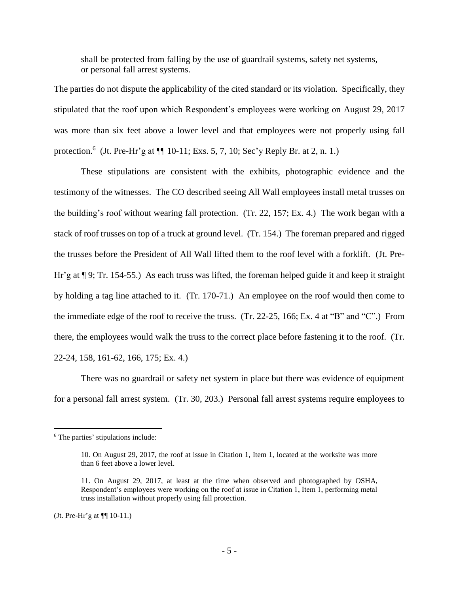shall be protected from falling by the use of guardrail systems, safety net systems, or personal fall arrest systems.

The parties do not dispute the applicability of the cited standard or its violation. Specifically, they stipulated that the roof upon which Respondent's employees were working on August 29, 2017 was more than six feet above a lower level and that employees were not properly using fall protection.<sup>6</sup> (Jt. Pre-Hr'g at  $\P$ [ 10-11; Exs. 5, 7, 10; Sec'y Reply Br. at 2, n. 1.)

These stipulations are consistent with the exhibits, photographic evidence and the testimony of the witnesses. The CO described seeing All Wall employees install metal trusses on the building's roof without wearing fall protection. (Tr. 22, 157; Ex. 4.) The work began with a stack of roof trusses on top of a truck at ground level. (Tr. 154.) The foreman prepared and rigged the trusses before the President of All Wall lifted them to the roof level with a forklift. (Jt. Pre-Hr'g at ¶ 9; Tr. 154-55.) As each truss was lifted, the foreman helped guide it and keep it straight by holding a tag line attached to it. (Tr. 170-71.) An employee on the roof would then come to the immediate edge of the roof to receive the truss. (Tr. 22-25, 166; Ex. 4 at "B" and "C".) From there, the employees would walk the truss to the correct place before fastening it to the roof. (Tr. 22-24, 158, 161-62, 166, 175; Ex. 4.)

There was no guardrail or safety net system in place but there was evidence of equipment for a personal fall arrest system. (Tr. 30, 203.) Personal fall arrest systems require employees to

<sup>&</sup>lt;sup>6</sup> The parties' stipulations include:

<sup>10.</sup> On August 29, 2017, the roof at issue in Citation 1, Item 1, located at the worksite was more than 6 feet above a lower level.

<sup>11.</sup> On August 29, 2017, at least at the time when observed and photographed by OSHA, Respondent's employees were working on the roof at issue in Citation 1, Item 1, performing metal truss installation without properly using fall protection.

<sup>(</sup>Jt. Pre-Hr'g at ¶¶ 10-11.)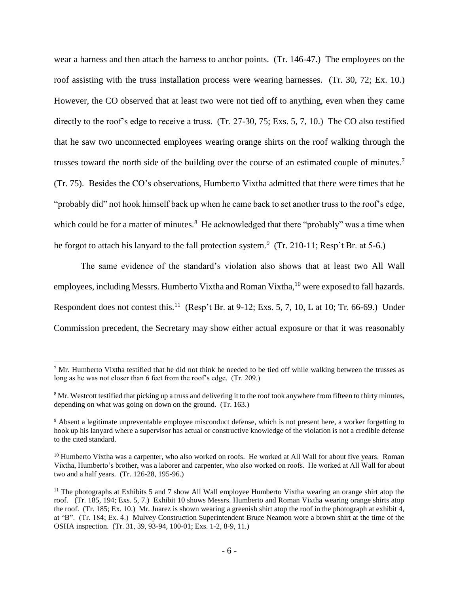wear a harness and then attach the harness to anchor points. (Tr. 146-47.) The employees on the roof assisting with the truss installation process were wearing harnesses. (Tr. 30, 72; Ex. 10.) However, the CO observed that at least two were not tied off to anything, even when they came directly to the roof's edge to receive a truss. (Tr. 27-30, 75; Exs. 5, 7, 10.) The CO also testified that he saw two unconnected employees wearing orange shirts on the roof walking through the trusses toward the north side of the building over the course of an estimated couple of minutes.<sup>7</sup> (Tr. 75). Besides the CO's observations, Humberto Vixtha admitted that there were times that he "probably did" not hook himself back up when he came back to set another truss to the roof's edge, which could be for a matter of minutes. $8$  He acknowledged that there "probably" was a time when he forgot to attach his lanyard to the fall protection system.<sup>9</sup> (Tr. 210-11; Resp't Br. at 5-6.)

The same evidence of the standard's violation also shows that at least two All Wall employees, including Messrs. Humberto Vixtha and Roman Vixtha,<sup>10</sup> were exposed to fall hazards. Respondent does not contest this.<sup>11</sup> (Resp't Br. at 9-12; Exs. 5, 7, 10, L at 10; Tr. 66-69.) Under Commission precedent, the Secretary may show either actual exposure or that it was reasonably

 $7$  Mr. Humberto Vixtha testified that he did not think he needed to be tied off while walking between the trusses as long as he was not closer than 6 feet from the roof's edge. (Tr. 209.)

<sup>&</sup>lt;sup>8</sup> Mr. Westcott testified that picking up a truss and delivering it to the roof took anywhere from fifteen to thirty minutes, depending on what was going on down on the ground. (Tr. 163.)

<sup>9</sup> Absent a legitimate unpreventable employee misconduct defense, which is not present here, a worker forgetting to hook up his lanyard where a supervisor has actual or constructive knowledge of the violation is not a credible defense to the cited standard.

<sup>&</sup>lt;sup>10</sup> Humberto Vixtha was a carpenter, who also worked on roofs. He worked at All Wall for about five years. Roman Vixtha, Humberto's brother, was a laborer and carpenter, who also worked on roofs. He worked at All Wall for about two and a half years. (Tr. 126-28, 195-96.)

<sup>&</sup>lt;sup>11</sup> The photographs at Exhibits 5 and 7 show All Wall employee Humberto Vixtha wearing an orange shirt atop the roof. (Tr. 185, 194; Exs. 5, 7.) Exhibit 10 shows Messrs. Humberto and Roman Vixtha wearing orange shirts atop the roof. (Tr. 185; Ex. 10.) Mr. Juarez is shown wearing a greenish shirt atop the roof in the photograph at exhibit 4, at "B". (Tr. 184; Ex. 4.) Mulvey Construction Superintendent Bruce Neamon wore a brown shirt at the time of the OSHA inspection. (Tr. 31, 39, 93-94, 100-01; Exs. 1-2, 8-9, 11.)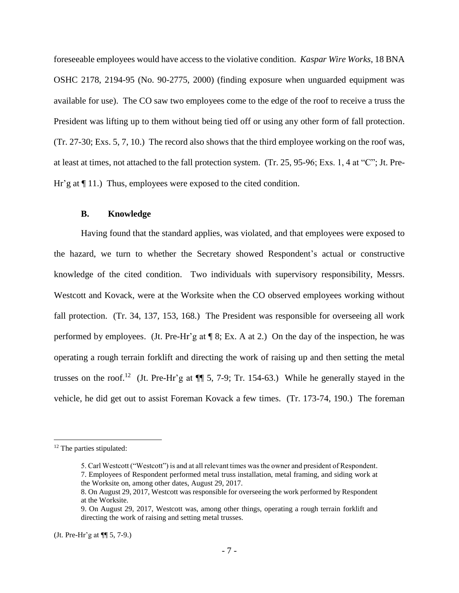foreseeable employees would have access to the violative condition. *Kaspar Wire Works*, 18 BNA OSHC 2178, 2194-95 (No. 90-2775, 2000) (finding exposure when unguarded equipment was available for use). The CO saw two employees come to the edge of the roof to receive a truss the President was lifting up to them without being tied off or using any other form of fall protection. (Tr. 27-30; Exs. 5, 7, 10.) The record also shows that the third employee working on the roof was, at least at times, not attached to the fall protection system. (Tr. 25, 95-96; Exs. 1, 4 at "C"; Jt. Pre-Hr'g at  $\P$  11.) Thus, employees were exposed to the cited condition.

#### **B. Knowledge**

Having found that the standard applies, was violated, and that employees were exposed to the hazard, we turn to whether the Secretary showed Respondent's actual or constructive knowledge of the cited condition. Two individuals with supervisory responsibility, Messrs. Westcott and Kovack, were at the Worksite when the CO observed employees working without fall protection. (Tr. 34, 137, 153, 168.) The President was responsible for overseeing all work performed by employees. (Jt. Pre-Hr'g at ¶ 8; Ex. A at 2.) On the day of the inspection, he was operating a rough terrain forklift and directing the work of raising up and then setting the metal trusses on the roof.<sup>12</sup> (Jt. Pre-Hr'g at  $\P$  5, 7-9; Tr. 154-63.) While he generally stayed in the vehicle, he did get out to assist Foreman Kovack a few times. (Tr. 173-74, 190.) The foreman

<sup>12</sup> The parties stipulated:

<sup>5.</sup> Carl Westcott ("Westcott") is and at all relevant times was the owner and president of Respondent. 7. Employees of Respondent performed metal truss installation, metal framing, and siding work at the Worksite on, among other dates, August 29, 2017.

<sup>8.</sup> On August 29, 2017, Westcott was responsible for overseeing the work performed by Respondent at the Worksite.

<sup>9.</sup> On August 29, 2017, Westcott was, among other things, operating a rough terrain forklift and directing the work of raising and setting metal trusses.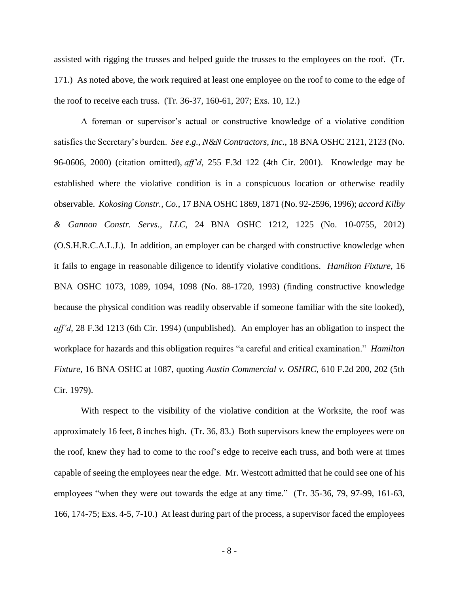assisted with rigging the trusses and helped guide the trusses to the employees on the roof. (Tr. 171.) As noted above, the work required at least one employee on the roof to come to the edge of the roof to receive each truss. (Tr. 36-37, 160-61, 207; Exs. 10, 12.)

A foreman or supervisor's actual or constructive knowledge of a violative condition satisfies the Secretary's burden. *See e.g., N&N Contractors, Inc.*, 18 BNA OSHC 2121, 2123 (No. 96-0606, 2000) (citation omitted), *aff'd*, 255 F.3d 122 (4th Cir. 2001). Knowledge may be established where the violative condition is in a conspicuous location or otherwise readily observable. *Kokosing Constr., Co.,* 17 BNA OSHC 1869, 1871 (No. 92-2596, 1996); *accord Kilby & Gannon Constr. Servs., LLC*, 24 BNA OSHC 1212, 1225 (No. 10-0755, 2012) (O.S.H.R.C.A.L.J.). In addition, an employer can be charged with constructive knowledge when it fails to engage in reasonable diligence to identify violative conditions. *Hamilton Fixture*, 16 BNA OSHC 1073, 1089, 1094, 1098 (No. 88-1720, 1993) (finding constructive knowledge because the physical condition was readily observable if someone familiar with the site looked), *aff'd*, 28 F.3d 1213 (6th Cir. 1994) (unpublished). An employer has an obligation to inspect the workplace for hazards and this obligation requires "a careful and critical examination." *Hamilton Fixture*, 16 BNA OSHC at 1087, quoting *Austin Commercial v. OSHRC*, 610 F.2d 200, 202 (5th Cir. 1979).

With respect to the visibility of the violative condition at the Worksite, the roof was approximately 16 feet, 8 inches high. (Tr. 36, 83.) Both supervisors knew the employees were on the roof, knew they had to come to the roof's edge to receive each truss, and both were at times capable of seeing the employees near the edge. Mr. Westcott admitted that he could see one of his employees "when they were out towards the edge at any time." (Tr. 35-36, 79, 97-99, 161-63, 166, 174-75; Exs. 4-5, 7-10.) At least during part of the process, a supervisor faced the employees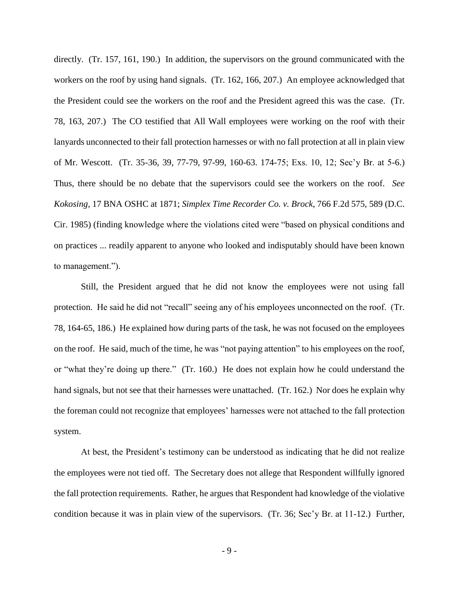directly. (Tr. 157, 161, 190.) In addition, the supervisors on the ground communicated with the workers on the roof by using hand signals. (Tr. 162, 166, 207.) An employee acknowledged that the President could see the workers on the roof and the President agreed this was the case. (Tr. 78, 163, 207.) The CO testified that All Wall employees were working on the roof with their lanyards unconnected to their fall protection harnesses or with no fall protection at all in plain view of Mr. Wescott. (Tr. 35-36, 39, 77-79, 97-99, 160-63. 174-75; Exs. 10, 12; Sec'y Br. at 5-6.) Thus, there should be no debate that the supervisors could see the workers on the roof. *See Kokosing,* 17 BNA OSHC at 1871; *Simplex Time Recorder Co. v. Brock*, 766 F.2d 575, 589 (D.C. Cir. 1985) (finding knowledge where the violations cited were "based on physical conditions and on practices ... readily apparent to anyone who looked and indisputably should have been known to management.").

Still, the President argued that he did not know the employees were not using fall protection. He said he did not "recall" seeing any of his employees unconnected on the roof. (Tr. 78, 164-65, 186.) He explained how during parts of the task, he was not focused on the employees on the roof. He said, much of the time, he was "not paying attention" to his employees on the roof, or "what they're doing up there." (Tr. 160.) He does not explain how he could understand the hand signals, but not see that their harnesses were unattached. (Tr. 162.) Nor does he explain why the foreman could not recognize that employees' harnesses were not attached to the fall protection system.

At best, the President's testimony can be understood as indicating that he did not realize the employees were not tied off. The Secretary does not allege that Respondent willfully ignored the fall protection requirements. Rather, he argues that Respondent had knowledge of the violative condition because it was in plain view of the supervisors. (Tr. 36; Sec'y Br. at 11-12.) Further,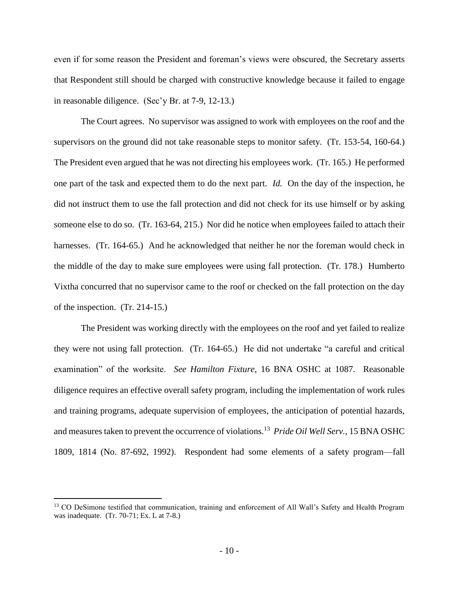even if for some reason the President and foreman's views were obscured, the Secretary asserts that Respondent still should be charged with constructive knowledge because it failed to engage in reasonable diligence. (Sec'y Br. at 7-9, 12-13.)

The Court agrees. No supervisor was assigned to work with employees on the roof and the supervisors on the ground did not take reasonable steps to monitor safety. (Tr. 153-54, 160-64.) The President even argued that he was not directing his employees work. (Tr. 165.) He performed one part of the task and expected them to do the next part. *Id.* On the day of the inspection, he did not instruct them to use the fall protection and did not check for its use himself or by asking someone else to do so. (Tr. 163-64, 215.) Nor did he notice when employees failed to attach their harnesses. (Tr. 164-65.) And he acknowledged that neither he nor the foreman would check in the middle of the day to make sure employees were using fall protection. (Tr. 178.) Humberto Vixtha concurred that no supervisor came to the roof or checked on the fall protection on the day of the inspection. (Tr. 214-15.)

The President was working directly with the employees on the roof and yet failed to realize they were not using fall protection. (Tr. 164-65.) He did not undertake "a careful and critical examination" of the worksite. *See Hamilton Fixture*, 16 BNA OSHC at 1087. Reasonable diligence requires an effective overall safety program, including the implementation of work rules and training programs, adequate supervision of employees, the anticipation of potential hazards, and measures taken to prevent the occurrence of violations.<sup>13</sup> Pride Oil Well Serv., 15 BNA OSHC 1809, 1814 (No. 87-692, 1992). Respondent had some elements of a safety program—fall

<sup>&</sup>lt;sup>13</sup> CO DeSimone testified that communication, training and enforcement of All Wall's Safety and Health Program was inadequate. (Tr. 70-71; Ex. L at 7-8.)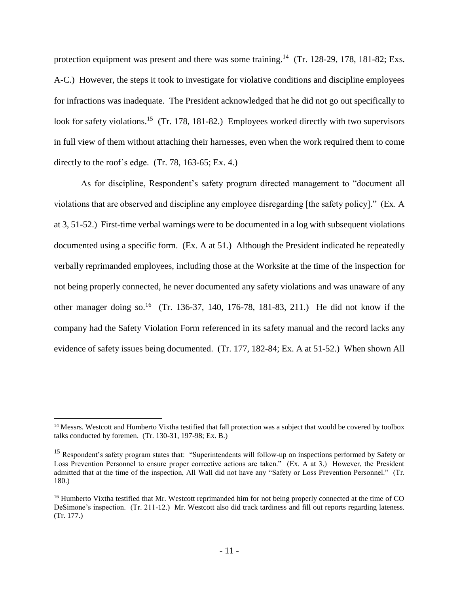protection equipment was present and there was some training.<sup>14</sup> (Tr. 128-29, 178, 181-82; Exs. A-C.) However, the steps it took to investigate for violative conditions and discipline employees for infractions was inadequate. The President acknowledged that he did not go out specifically to look for safety violations.<sup>15</sup> (Tr. 178, 181-82.) Employees worked directly with two supervisors in full view of them without attaching their harnesses, even when the work required them to come directly to the roof's edge.  $(Tr. 78, 163-65; Ex. 4.)$ 

As for discipline, Respondent's safety program directed management to "document all violations that are observed and discipline any employee disregarding [the safety policy]." (Ex. A at 3, 51-52.) First-time verbal warnings were to be documented in a log with subsequent violations documented using a specific form. (Ex. A at 51.) Although the President indicated he repeatedly verbally reprimanded employees, including those at the Worksite at the time of the inspection for not being properly connected, he never documented any safety violations and was unaware of any other manager doing so.<sup>16</sup> (Tr. 136-37, 140, 176-78, 181-83, 211.) He did not know if the company had the Safety Violation Form referenced in its safety manual and the record lacks any evidence of safety issues being documented. (Tr. 177, 182-84; Ex. A at 51-52.) When shown All

<sup>&</sup>lt;sup>14</sup> Messrs. Westcott and Humberto Vixtha testified that fall protection was a subject that would be covered by toolbox talks conducted by foremen. (Tr. 130-31, 197-98; Ex. B.)

<sup>&</sup>lt;sup>15</sup> Respondent's safety program states that: "Superintendents will follow-up on inspections performed by Safety or Loss Prevention Personnel to ensure proper corrective actions are taken." (Ex. A at 3.) However, the President admitted that at the time of the inspection, All Wall did not have any "Safety or Loss Prevention Personnel." (Tr. 180.)

<sup>&</sup>lt;sup>16</sup> Humberto Vixtha testified that Mr. Westcott reprimanded him for not being properly connected at the time of CO DeSimone's inspection. (Tr. 211-12.) Mr. Westcott also did track tardiness and fill out reports regarding lateness. (Tr. 177.)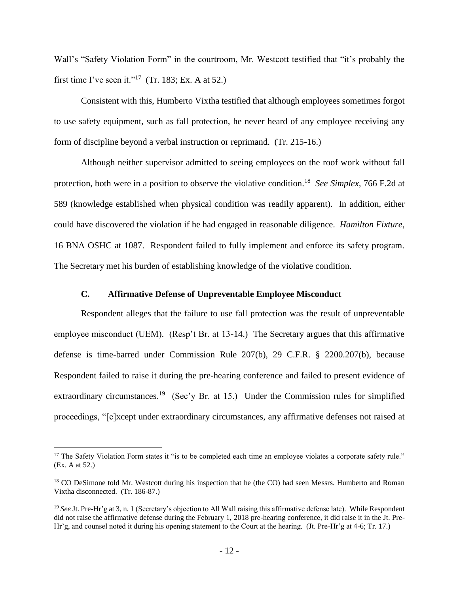Wall's "Safety Violation Form" in the courtroom, Mr. Westcott testified that "it's probably the first time I've seen it."<sup>17</sup> (Tr. 183; Ex. A at 52.)

Consistent with this, Humberto Vixtha testified that although employees sometimes forgot to use safety equipment, such as fall protection, he never heard of any employee receiving any form of discipline beyond a verbal instruction or reprimand. (Tr. 215-16.)

Although neither supervisor admitted to seeing employees on the roof work without fall protection, both were in a position to observe the violative condition.<sup>18</sup> See Simplex, 766 F.2d at 589 (knowledge established when physical condition was readily apparent). In addition, either could have discovered the violation if he had engaged in reasonable diligence. *Hamilton Fixture*, 16 BNA OSHC at 1087. Respondent failed to fully implement and enforce its safety program. The Secretary met his burden of establishing knowledge of the violative condition.

## **C. Affirmative Defense of Unpreventable Employee Misconduct**

Respondent alleges that the failure to use fall protection was the result of unpreventable employee misconduct (UEM). (Resp't Br. at 13-14.) The Secretary argues that this affirmative defense is time-barred under Commission Rule 207(b), 29 C.F.R. § 2200.207(b), because Respondent failed to raise it during the pre-hearing conference and failed to present evidence of extraordinary circumstances.<sup>19</sup> (Sec'y Br. at 15.) Under the Commission rules for simplified proceedings, "[e]xcept under extraordinary circumstances, any affirmative defenses not raised at

<sup>&</sup>lt;sup>17</sup> The Safety Violation Form states it "is to be completed each time an employee violates a corporate safety rule." (Ex. A at 52.)

<sup>&</sup>lt;sup>18</sup> CO DeSimone told Mr. Westcott during his inspection that he (the CO) had seen Messrs. Humberto and Roman Vixtha disconnected. (Tr. 186-87.)

<sup>&</sup>lt;sup>19</sup> See Jt. Pre-Hr'g at 3, n. 1 (Secretary's objection to All Wall raising this affirmative defense late). While Respondent did not raise the affirmative defense during the February 1, 2018 pre-hearing conference, it did raise it in the Jt. Pre-Hr'g, and counsel noted it during his opening statement to the Court at the hearing. (Jt. Pre-Hr'g at 4-6; Tr. 17.)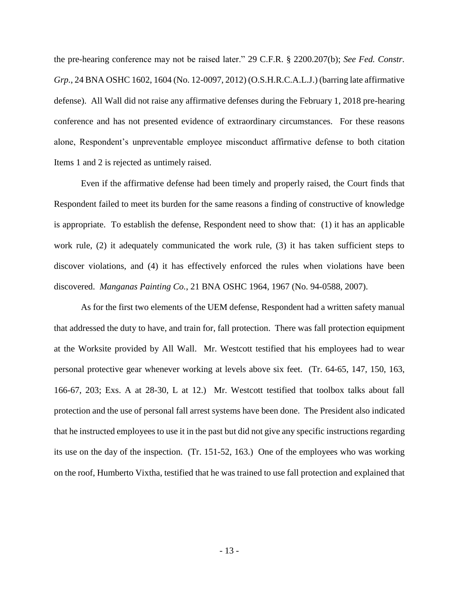the pre-hearing conference may not be raised later." 29 C.F.R. § 2200.207(b); *See Fed. Constr. Grp.*, 24 BNA OSHC 1602, 1604 (No. 12-0097, 2012) (O.S.H.R.C.A.L.J.) (barring late affirmative defense). All Wall did not raise any affirmative defenses during the February 1, 2018 pre-hearing conference and has not presented evidence of extraordinary circumstances. For these reasons alone, Respondent's unpreventable employee misconduct affirmative defense to both citation Items 1 and 2 is rejected as untimely raised.

Even if the affirmative defense had been timely and properly raised, the Court finds that Respondent failed to meet its burden for the same reasons a finding of constructive of knowledge is appropriate. To establish the defense, Respondent need to show that: (1) it has an applicable work rule, (2) it adequately communicated the work rule, (3) it has taken sufficient steps to discover violations, and (4) it has effectively enforced the rules when violations have been discovered. *Manganas Painting Co.*, 21 BNA OSHC 1964, 1967 (No. 94-0588, 2007).

As for the first two elements of the UEM defense, Respondent had a written safety manual that addressed the duty to have, and train for, fall protection. There was fall protection equipment at the Worksite provided by All Wall. Mr. Westcott testified that his employees had to wear personal protective gear whenever working at levels above six feet. (Tr. 64-65, 147, 150, 163, 166-67, 203; Exs. A at 28-30, L at 12.) Mr. Westcott testified that toolbox talks about fall protection and the use of personal fall arrest systems have been done. The President also indicated that he instructed employees to use it in the past but did not give any specific instructions regarding its use on the day of the inspection. (Tr. 151-52, 163.) One of the employees who was working on the roof, Humberto Vixtha, testified that he was trained to use fall protection and explained that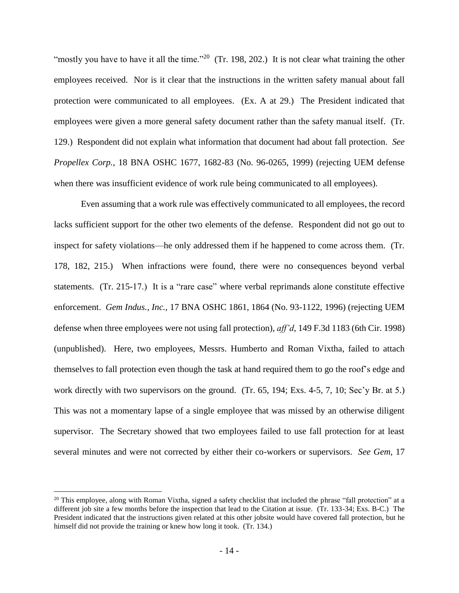"mostly you have to have it all the time."<sup>20</sup> (Tr. 198, 202.) It is not clear what training the other employees received. Nor is it clear that the instructions in the written safety manual about fall protection were communicated to all employees. (Ex. A at 29.) The President indicated that employees were given a more general safety document rather than the safety manual itself. (Tr. 129.) Respondent did not explain what information that document had about fall protection. *See Propellex Corp.*, 18 BNA OSHC 1677, 1682-83 (No. 96-0265, 1999) (rejecting UEM defense when there was insufficient evidence of work rule being communicated to all employees).

Even assuming that a work rule was effectively communicated to all employees, the record lacks sufficient support for the other two elements of the defense. Respondent did not go out to inspect for safety violations—he only addressed them if he happened to come across them. (Tr. 178, 182, 215.) When infractions were found, there were no consequences beyond verbal statements. (Tr. 215-17.) It is a "rare case" where verbal reprimands alone constitute effective enforcement. *Gem Indus., Inc.,* 17 BNA OSHC 1861, 1864 (No. 93-1122, 1996) (rejecting UEM defense when three employees were not using fall protection), *aff'd*, 149 F.3d 1183 (6th Cir. 1998) (unpublished). Here, two employees, Messrs. Humberto and Roman Vixtha, failed to attach themselves to fall protection even though the task at hand required them to go the roof's edge and work directly with two supervisors on the ground. (Tr. 65, 194; Exs. 4-5, 7, 10; Sec'y Br. at 5.) This was not a momentary lapse of a single employee that was missed by an otherwise diligent supervisor. The Secretary showed that two employees failed to use fall protection for at least several minutes and were not corrected by either their co-workers or supervisors. *See Gem,* 17

 $^{20}$  This employee, along with Roman Vixtha, signed a safety checklist that included the phrase "fall protection" at a different job site a few months before the inspection that lead to the Citation at issue. (Tr. 133-34; Exs. B-C.) The President indicated that the instructions given related at this other jobsite would have covered fall protection, but he himself did not provide the training or knew how long it took. (Tr. 134.)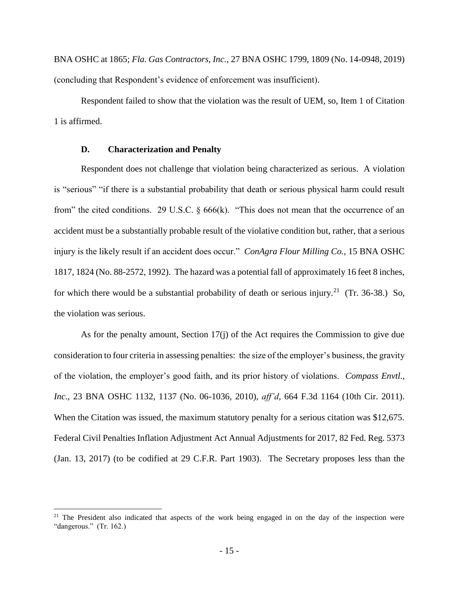BNA OSHC at 1865; *Fla. Gas Contractors, Inc.,* 27 BNA OSHC 1799, 1809 (No. 14-0948, 2019) (concluding that Respondent's evidence of enforcement was insufficient).

Respondent failed to show that the violation was the result of UEM, so, Item 1 of Citation 1 is affirmed.

# **D. Characterization and Penalty**

 $\overline{a}$ 

Respondent does not challenge that violation being characterized as serious. A violation is "serious" "if there is a substantial probability that death or serious physical harm could result from" the cited conditions. 29 U.S.C.  $\S 666(k)$ . "This does not mean that the occurrence of an accident must be a substantially probable result of the violative condition but, rather, that a serious injury is the likely result if an accident does occur." *ConAgra Flour Milling Co.*, 15 BNA OSHC 1817, 1824 (No. 88-2572, 1992). The hazard was a potential fall of approximately 16 feet 8 inches, for which there would be a substantial probability of death or serious injury.<sup>21</sup> (Tr. 36-38.) So, the violation was serious.

As for the penalty amount, Section 17(j) of the Act requires the Commission to give due consideration to four criteria in assessing penalties: the size of the employer's business, the gravity of the violation, the employer's good faith, and its prior history of violations. *Compass Envtl., Inc*., 23 BNA OSHC 1132, 1137 (No. 06-1036, 2010), *aff'd*, 664 F.3d 1164 (10th Cir. 2011). When the Citation was issued, the maximum statutory penalty for a serious citation was \$12,675. Federal Civil Penalties Inflation Adjustment Act Annual Adjustments for 2017, 82 Fed. Reg. 5373 (Jan. 13, 2017) (to be codified at 29 C.F.R. Part 1903). The Secretary proposes less than the

<sup>&</sup>lt;sup>21</sup> The President also indicated that aspects of the work being engaged in on the day of the inspection were "dangerous." (Tr. 162.)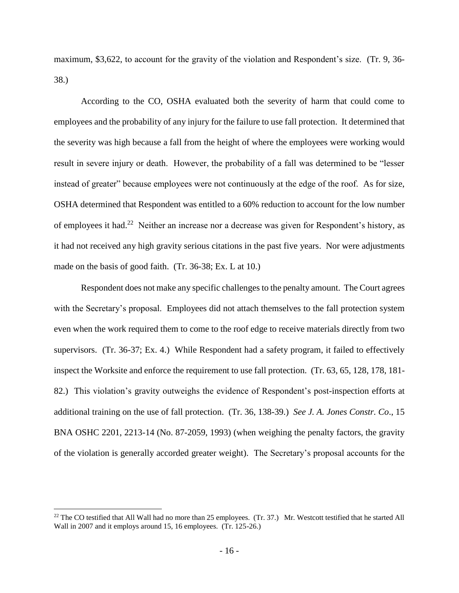maximum, \$3,622, to account for the gravity of the violation and Respondent's size. (Tr. 9, 36- 38.)

According to the CO, OSHA evaluated both the severity of harm that could come to employees and the probability of any injury for the failure to use fall protection. It determined that the severity was high because a fall from the height of where the employees were working would result in severe injury or death. However, the probability of a fall was determined to be "lesser instead of greater" because employees were not continuously at the edge of the roof. As for size, OSHA determined that Respondent was entitled to a 60% reduction to account for the low number of employees it had.<sup>22</sup> Neither an increase nor a decrease was given for Respondent's history, as it had not received any high gravity serious citations in the past five years. Nor were adjustments made on the basis of good faith. (Tr. 36-38; Ex. L at 10.)

Respondent does not make any specific challenges to the penalty amount. The Court agrees with the Secretary's proposal. Employees did not attach themselves to the fall protection system even when the work required them to come to the roof edge to receive materials directly from two supervisors. (Tr. 36-37; Ex. 4.) While Respondent had a safety program, it failed to effectively inspect the Worksite and enforce the requirement to use fall protection. (Tr. 63, 65, 128, 178, 181- 82.) This violation's gravity outweighs the evidence of Respondent's post-inspection efforts at additional training on the use of fall protection. (Tr. 36, 138-39.) *See J. A. Jones Constr. Co*., 15 BNA OSHC 2201, 2213-14 (No. 87-2059, 1993) (when weighing the penalty factors, the gravity of the violation is generally accorded greater weight). The Secretary's proposal accounts for the

<sup>&</sup>lt;sup>22</sup> The CO testified that All Wall had no more than 25 employees. (Tr. 37.) Mr. Westcott testified that he started All Wall in 2007 and it employs around 15, 16 employees. (Tr. 125-26.)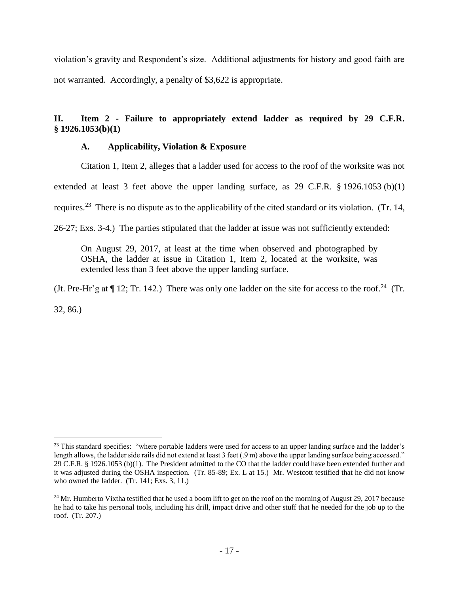violation's gravity and Respondent's size. Additional adjustments for history and good faith are not warranted. Accordingly, a penalty of \$3,622 is appropriate.

# **II. Item 2 - Failure to appropriately extend ladder as required by 29 C.F.R. § 1926.1053(b)(1)**

# **A. Applicability, Violation & Exposure**

Citation 1, Item 2, alleges that a ladder used for access to the roof of the worksite was not

extended at least 3 feet above the upper landing surface, as 29 C.F.R. § 1926.1053 (b)(1)

requires.<sup>23</sup> There is no dispute as to the applicability of the cited standard or its violation. (Tr. 14,

26-27; Exs. 3-4.) The parties stipulated that the ladder at issue was not sufficiently extended:

On August 29, 2017, at least at the time when observed and photographed by OSHA, the ladder at issue in Citation 1, Item 2, located at the worksite, was extended less than 3 feet above the upper landing surface.

(Jt. Pre-Hr'g at  $\P$  12; Tr. 142.) There was only one ladder on the site for access to the roof.<sup>24</sup> (Tr.

32, 86.)

 $\overline{a}$  $23$  This standard specifies: "where portable ladders were used for access to an upper landing surface and the ladder's length allows, the ladder side rails did not extend at least 3 feet (.9 m) above the upper landing surface being accessed." 29 C.F.R. § 1926.1053 (b)(1). The President admitted to the CO that the ladder could have been extended further and it was adjusted during the OSHA inspection. (Tr. 85-89; Ex. L at 15.) Mr. Westcott testified that he did not know who owned the ladder. (Tr. 141; Exs. 3, 11.)

 $24$  Mr. Humberto Vixtha testified that he used a boom lift to get on the roof on the morning of August 29, 2017 because he had to take his personal tools, including his drill, impact drive and other stuff that he needed for the job up to the roof. (Tr. 207.)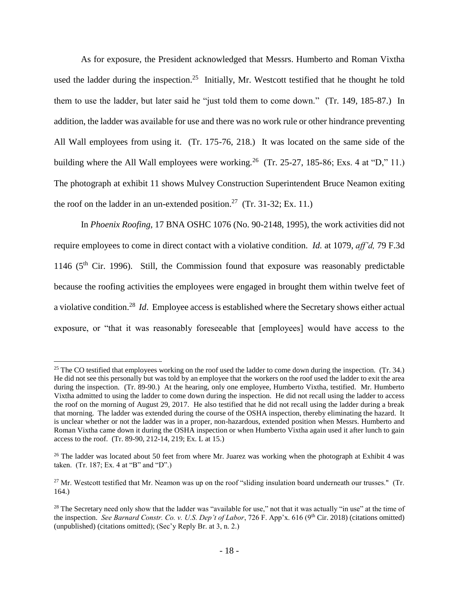As for exposure, the President acknowledged that Messrs. Humberto and Roman Vixtha used the ladder during the inspection.<sup>25</sup> Initially, Mr. Westcott testified that he thought he told them to use the ladder, but later said he "just told them to come down." (Tr. 149, 185-87.) In addition, the ladder was available for use and there was no work rule or other hindrance preventing All Wall employees from using it. (Tr. 175-76, 218.) It was located on the same side of the building where the All Wall employees were working.<sup>26</sup> (Tr. 25-27, 185-86; Exs. 4 at "D," 11.) The photograph at exhibit 11 shows Mulvey Construction Superintendent Bruce Neamon exiting the roof on the ladder in an un-extended position.<sup>27</sup> (Tr. 31-32; Ex. 11.)

In *Phoenix Roofing*, 17 BNA OSHC 1076 (No. 90-2148, 1995), the work activities did not require employees to come in direct contact with a violative condition. *Id.* at 1079, *aff'd,* 79 F.3d 1146 ( $5<sup>th</sup>$  Cir. 1996). Still, the Commission found that exposure was reasonably predictable because the roofing activities the employees were engaged in brought them within twelve feet of a violative condition.<sup>28</sup> *Id*. Employee access is established where the Secretary shows either actual exposure, or "that it was reasonably foreseeable that [employees] would have access to the

<sup>&</sup>lt;sup>25</sup> The CO testified that employees working on the roof used the ladder to come down during the inspection. (Tr. 34.) He did not see this personally but was told by an employee that the workers on the roof used the ladder to exit the area during the inspection. (Tr. 89-90.) At the hearing, only one employee, Humberto Vixtha, testified. Mr. Humberto Vixtha admitted to using the ladder to come down during the inspection. He did not recall using the ladder to access the roof on the morning of August 29, 2017. He also testified that he did not recall using the ladder during a break that morning. The ladder was extended during the course of the OSHA inspection, thereby eliminating the hazard. It is unclear whether or not the ladder was in a proper, non-hazardous, extended position when Messrs. Humberto and Roman Vixtha came down it during the OSHA inspection or when Humberto Vixtha again used it after lunch to gain access to the roof. (Tr. 89-90, 212-14, 219; Ex. L at 15.)

<sup>&</sup>lt;sup>26</sup> The ladder was located about 50 feet from where Mr. Juarez was working when the photograph at Exhibit 4 was taken. (Tr. 187; Ex. 4 at "B" and "D".)

 $27$  Mr. Westcott testified that Mr. Neamon was up on the roof "sliding insulation board underneath our trusses." (Tr. 164.)

<sup>&</sup>lt;sup>28</sup> The Secretary need only show that the ladder was "available for use," not that it was actually "in use" at the time of the inspection. *See Barnard Constr. Co. v. U.S. Dep't of Labor*, 726 F. App'x. 616 (9<sup>th</sup> Cir. 2018) (citations omitted) (unpublished) (citations omitted); (Sec'y Reply Br. at 3, n. 2.)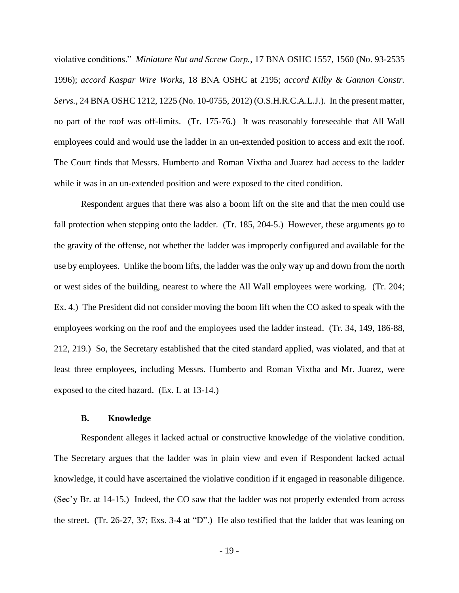violative conditions." *Miniature Nut and Screw Corp.*, 17 BNA OSHC 1557, 1560 (No. 93-2535 1996); *accord Kaspar Wire Works*, 18 BNA OSHC at 2195; *accord Kilby & Gannon Constr. Servs.*, 24 BNA OSHC 1212, 1225 (No. 10-0755, 2012) (O.S.H.R.C.A.L.J.). In the present matter, no part of the roof was off-limits. (Tr. 175-76.) It was reasonably foreseeable that All Wall employees could and would use the ladder in an un-extended position to access and exit the roof. The Court finds that Messrs. Humberto and Roman Vixtha and Juarez had access to the ladder while it was in an un-extended position and were exposed to the cited condition.

Respondent argues that there was also a boom lift on the site and that the men could use fall protection when stepping onto the ladder. (Tr. 185, 204-5.) However, these arguments go to the gravity of the offense, not whether the ladder was improperly configured and available for the use by employees. Unlike the boom lifts, the ladder was the only way up and down from the north or west sides of the building, nearest to where the All Wall employees were working. (Tr. 204; Ex. 4.) The President did not consider moving the boom lift when the CO asked to speak with the employees working on the roof and the employees used the ladder instead. (Tr. 34, 149, 186-88, 212, 219.) So, the Secretary established that the cited standard applied, was violated, and that at least three employees, including Messrs. Humberto and Roman Vixtha and Mr. Juarez, were exposed to the cited hazard. (Ex. L at 13-14.)

#### **B. Knowledge**

Respondent alleges it lacked actual or constructive knowledge of the violative condition. The Secretary argues that the ladder was in plain view and even if Respondent lacked actual knowledge, it could have ascertained the violative condition if it engaged in reasonable diligence. (Sec'y Br. at 14-15.) Indeed, the CO saw that the ladder was not properly extended from across the street. (Tr. 26-27, 37; Exs. 3-4 at "D".) He also testified that the ladder that was leaning on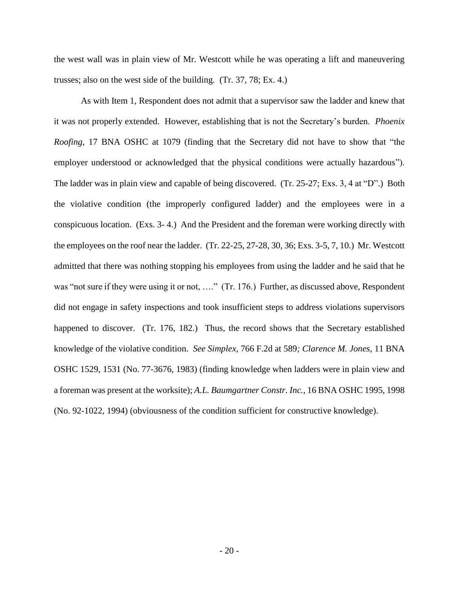the west wall was in plain view of Mr. Westcott while he was operating a lift and maneuvering trusses; also on the west side of the building. (Tr. 37, 78; Ex. 4.)

As with Item 1, Respondent does not admit that a supervisor saw the ladder and knew that it was not properly extended. However, establishing that is not the Secretary's burden. *Phoenix Roofing*, 17 BNA OSHC at 1079 (finding that the Secretary did not have to show that "the employer understood or acknowledged that the physical conditions were actually hazardous"). The ladder was in plain view and capable of being discovered. (Tr. 25-27; Exs. 3, 4 at "D".) Both the violative condition (the improperly configured ladder) and the employees were in a conspicuous location. (Exs. 3- 4.) And the President and the foreman were working directly with the employees on the roof near the ladder. (Tr. 22-25, 27-28, 30, 36; Exs. 3-5, 7, 10.) Mr. Westcott admitted that there was nothing stopping his employees from using the ladder and he said that he was "not sure if they were using it or not, ...." (Tr. 176.) Further, as discussed above, Respondent did not engage in safety inspections and took insufficient steps to address violations supervisors happened to discover. (Tr. 176, 182.) Thus, the record shows that the Secretary established knowledge of the violative condition. *See Simplex*, 766 F.2d at 589*; Clarence M. Jones*, 11 BNA OSHC 1529, 1531 (No. 77-3676, 1983) (finding knowledge when ladders were in plain view and a foreman was present at the worksite); *A.L. Baumgartner Constr. Inc.,* 16 BNA OSHC 1995, 1998 (No. 92-1022, 1994) (obviousness of the condition sufficient for constructive knowledge).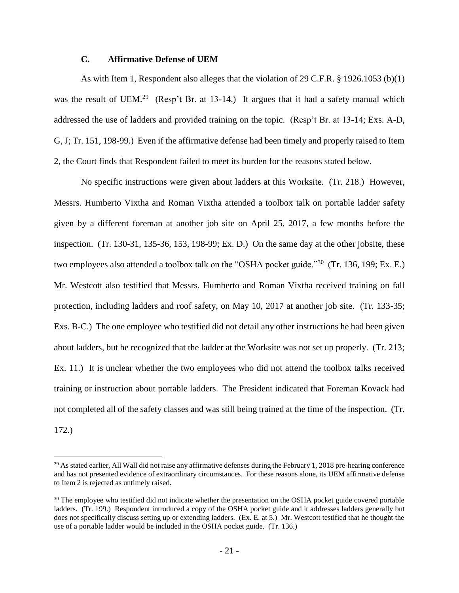## **C. Affirmative Defense of UEM**

 $\overline{a}$ 

As with Item 1, Respondent also alleges that the violation of 29 C.F.R. § 1926.1053 (b)(1) was the result of UEM.<sup>29</sup> (Resp't Br. at 13-14.) It argues that it had a safety manual which addressed the use of ladders and provided training on the topic. (Resp't Br. at 13-14; Exs. A-D, G, J; Tr. 151, 198-99.) Even if the affirmative defense had been timely and properly raised to Item 2, the Court finds that Respondent failed to meet its burden for the reasons stated below.

No specific instructions were given about ladders at this Worksite. (Tr. 218.) However, Messrs. Humberto Vixtha and Roman Vixtha attended a toolbox talk on portable ladder safety given by a different foreman at another job site on April 25, 2017, a few months before the inspection. (Tr. 130-31, 135-36, 153, 198-99; Ex. D.) On the same day at the other jobsite, these two employees also attended a toolbox talk on the "OSHA pocket guide."<sup>30</sup> (Tr. 136, 199; Ex. E.) Mr. Westcott also testified that Messrs. Humberto and Roman Vixtha received training on fall protection, including ladders and roof safety, on May 10, 2017 at another job site. (Tr. 133-35; Exs. B-C.) The one employee who testified did not detail any other instructions he had been given about ladders, but he recognized that the ladder at the Worksite was not set up properly. (Tr. 213; Ex. 11.) It is unclear whether the two employees who did not attend the toolbox talks received training or instruction about portable ladders. The President indicated that Foreman Kovack had not completed all of the safety classes and was still being trained at the time of the inspection. (Tr. 172.)

 $^{29}$  As stated earlier, All Wall did not raise any affirmative defenses during the February 1, 2018 pre-hearing conference and has not presented evidence of extraordinary circumstances. For these reasons alone, its UEM affirmative defense to Item 2 is rejected as untimely raised.

<sup>&</sup>lt;sup>30</sup> The employee who testified did not indicate whether the presentation on the OSHA pocket guide covered portable ladders. (Tr. 199.) Respondent introduced a copy of the OSHA pocket guide and it addresses ladders generally but does not specifically discuss setting up or extending ladders. (Ex. E. at 5.) Mr. Westcott testified that he thought the use of a portable ladder would be included in the OSHA pocket guide. (Tr. 136.)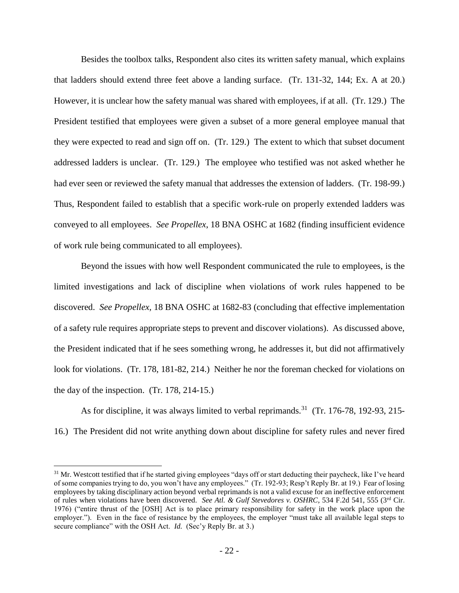Besides the toolbox talks, Respondent also cites its written safety manual, which explains that ladders should extend three feet above a landing surface. (Tr. 131-32, 144; Ex. A at 20.) However, it is unclear how the safety manual was shared with employees, if at all. (Tr. 129.) The President testified that employees were given a subset of a more general employee manual that they were expected to read and sign off on. (Tr. 129.) The extent to which that subset document addressed ladders is unclear. (Tr. 129.) The employee who testified was not asked whether he had ever seen or reviewed the safety manual that addresses the extension of ladders. (Tr. 198-99.) Thus, Respondent failed to establish that a specific work-rule on properly extended ladders was conveyed to all employees. *See Propellex*, 18 BNA OSHC at 1682 (finding insufficient evidence of work rule being communicated to all employees).

Beyond the issues with how well Respondent communicated the rule to employees, is the limited investigations and lack of discipline when violations of work rules happened to be discovered. *See Propellex,* 18 BNA OSHC at 1682-83 (concluding that effective implementation of a safety rule requires appropriate steps to prevent and discover violations). As discussed above, the President indicated that if he sees something wrong, he addresses it, but did not affirmatively look for violations. (Tr. 178, 181-82, 214.) Neither he nor the foreman checked for violations on the day of the inspection. (Tr. 178, 214-15.)

As for discipline, it was always limited to verbal reprimands.<sup>31</sup> (Tr. 176-78, 192-93, 215-16.) The President did not write anything down about discipline for safety rules and never fired

 $31$  Mr. Westcott testified that if he started giving employees "days off or start deducting their paycheck, like I've heard of some companies trying to do, you won't have any employees." (Tr. 192-93; Resp't Reply Br. at 19.) Fear of losing employees by taking disciplinary action beyond verbal reprimands is not a valid excuse for an ineffective enforcement of rules when violations have been discovered. *See Atl. & Gulf Stevedores v. OSHRC*, 534 F.2d 541, 555 (3rd Cir. 1976) ("entire thrust of the [OSH] Act is to place primary responsibility for safety in the work place upon the employer."). Even in the face of resistance by the employees, the employer "must take all available legal steps to secure compliance" with the OSH Act. *Id.* (Sec'y Reply Br. at 3.)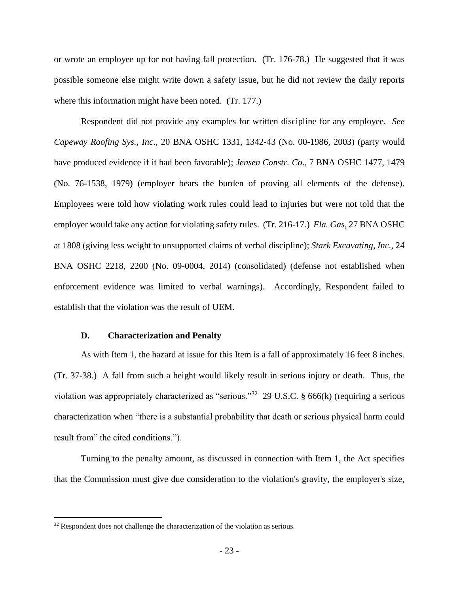or wrote an employee up for not having fall protection. (Tr. 176-78.) He suggested that it was possible someone else might write down a safety issue, but he did not review the daily reports where this information might have been noted. (Tr. 177.)

Respondent did not provide any examples for written discipline for any employee. *See Capeway Roofing Sys., Inc*., 20 BNA OSHC 1331, 1342-43 (No. 00-1986, 2003) (party would have produced evidence if it had been favorable); *Jensen Constr. Co*., 7 BNA OSHC 1477, 1479 (No. 76-1538, 1979) (employer bears the burden of proving all elements of the defense). Employees were told how violating work rules could lead to injuries but were not told that the employer would take any action for violating safety rules. (Tr. 216-17.) *Fla. Gas*, 27 BNA OSHC at 1808 (giving less weight to unsupported claims of verbal discipline); *Stark Excavating, Inc.,* 24 BNA OSHC 2218, 2200 (No. 09-0004, 2014) (consolidated) (defense not established when enforcement evidence was limited to verbal warnings). Accordingly, Respondent failed to establish that the violation was the result of UEM.

#### **D. Characterization and Penalty**

As with Item 1, the hazard at issue for this Item is a fall of approximately 16 feet 8 inches. (Tr. 37-38.) A fall from such a height would likely result in serious injury or death. Thus, the violation was appropriately characterized as "serious."<sup>32</sup> 29 U.S.C. § 666(k) (requiring a serious characterization when "there is a substantial probability that death or serious physical harm could result from" the cited conditions.").

Turning to the penalty amount, as discussed in connection with Item 1, the Act specifies that the Commission must give due consideration to the violation's gravity, the employer's size,

 $32$  Respondent does not challenge the characterization of the violation as serious.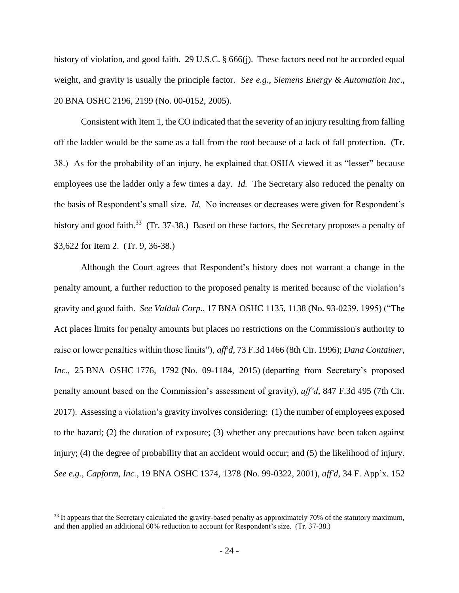history of violation, and good faith. 29 U.S.C. § 666(j). These factors need not be accorded equal weight, and gravity is usually the principle factor. *See e.g*., *Siemens Energy & Automation Inc*., 20 BNA OSHC 2196, 2199 (No. 00-0152, 2005).

Consistent with Item 1, the CO indicated that the severity of an injury resulting from falling off the ladder would be the same as a fall from the roof because of a lack of fall protection. (Tr. 38.) As for the probability of an injury, he explained that OSHA viewed it as "lesser" because employees use the ladder only a few times a day. *Id.* The Secretary also reduced the penalty on the basis of Respondent's small size. *Id.* No increases or decreases were given for Respondent's history and good faith.<sup>33</sup> (Tr. 37-38.) Based on these factors, the Secretary proposes a penalty of \$3,622 for Item 2. (Tr. 9, 36-38.)

Although the Court agrees that Respondent's history does not warrant a change in the penalty amount, a further reduction to the proposed penalty is merited because of the violation's gravity and good faith. *See Valdak Corp.*, 17 BNA OSHC 1135, 1138 (No. 93-0239, 1995) ("The Act places limits for penalty amounts but places no restrictions on the Commission's authority to raise or lower penalties within those limits"), *aff'd*, 73 F.3d 1466 (8th Cir. 1996); *Dana Container, Inc.*, 25 BNA OSHC 1776, 1792 (No. 09-1184, 2015) (departing from Secretary's proposed penalty amount based on the Commission's assessment of gravity), *aff'd*, 847 F.3d 495 (7th Cir. 2017). Assessing a violation's gravity involves considering: (1) the number of employees exposed to the hazard; (2) the duration of exposure; (3) whether any precautions have been taken against injury; (4) the degree of probability that an accident would occur; and (5) the likelihood of injury. *See e.g., Capform, Inc.*, 19 BNA OSHC 1374, 1378 (No. 99-0322, 2001), *aff'd*, 34 F. App'x. 152

<sup>&</sup>lt;sup>33</sup> It appears that the Secretary calculated the gravity-based penalty as approximately 70% of the statutory maximum, and then applied an additional 60% reduction to account for Respondent's size. (Tr. 37-38.)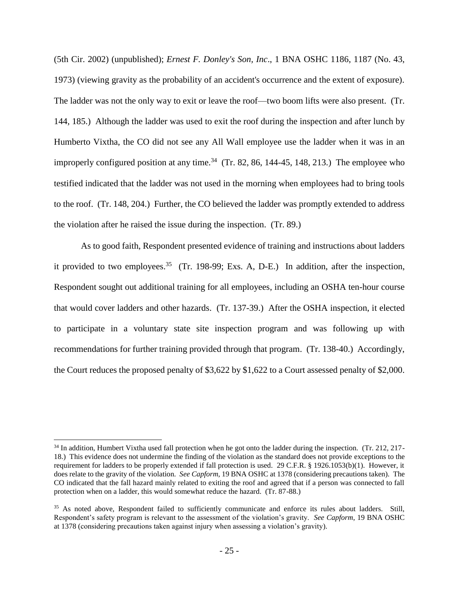(5th Cir. 2002) (unpublished); *Ernest F. Donley's Son, Inc*., 1 BNA OSHC 1186, 1187 (No. 43, 1973) (viewing gravity as the probability of an accident's occurrence and the extent of exposure). The ladder was not the only way to exit or leave the roof—two boom lifts were also present. (Tr. 144, 185.) Although the ladder was used to exit the roof during the inspection and after lunch by Humberto Vixtha, the CO did not see any All Wall employee use the ladder when it was in an improperly configured position at any time.<sup>34</sup> (Tr. 82, 86, 144-45, 148, 213.) The employee who testified indicated that the ladder was not used in the morning when employees had to bring tools to the roof. (Tr. 148, 204.) Further, the CO believed the ladder was promptly extended to address the violation after he raised the issue during the inspection. (Tr. 89.)

As to good faith, Respondent presented evidence of training and instructions about ladders it provided to two employees. 35 (Tr. 198-99; Exs. A, D-E.) In addition, after the inspection, Respondent sought out additional training for all employees, including an OSHA ten-hour course that would cover ladders and other hazards. (Tr. 137-39.) After the OSHA inspection, it elected to participate in a voluntary state site inspection program and was following up with recommendations for further training provided through that program. (Tr. 138-40.) Accordingly, the Court reduces the proposed penalty of \$3,622 by \$1,622 to a Court assessed penalty of \$2,000.

<sup>&</sup>lt;sup>34</sup> In addition, Humbert Vixtha used fall protection when he got onto the ladder during the inspection. (Tr. 212, 217-18.) This evidence does not undermine the finding of the violation as the standard does not provide exceptions to the requirement for ladders to be properly extended if fall protection is used. 29 C.F.R. § 1926.1053(b)(1). However, it does relate to the gravity of the violation. *See Capform*, 19 BNA OSHC at 1378 (considering precautions taken). The CO indicated that the fall hazard mainly related to exiting the roof and agreed that if a person was connected to fall protection when on a ladder, this would somewhat reduce the hazard. (Tr. 87-88.)

<sup>&</sup>lt;sup>35</sup> As noted above, Respondent failed to sufficiently communicate and enforce its rules about ladders. Still, Respondent's safety program is relevant to the assessment of the violation's gravity. *See Capform*, 19 BNA OSHC at 1378 (considering precautions taken against injury when assessing a violation's gravity).